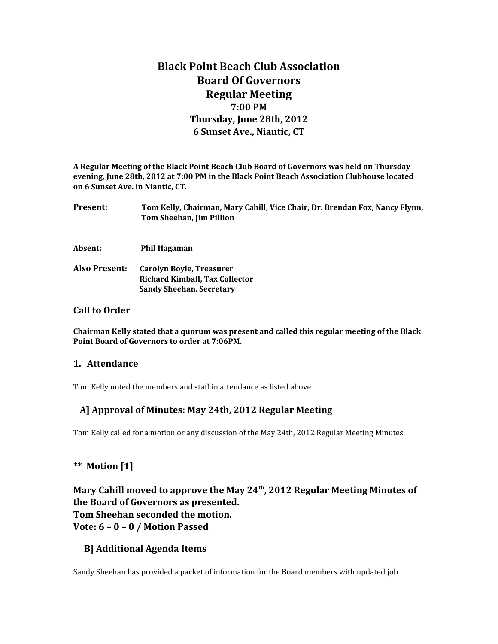# **Black Point Beach Club Association Board Of Governors Regular Meeting 7:00 PM Thursday, June 28th, 2012 6 Sunset Ave., Niantic, CT**

**A Regular Meeting of the Black Point Beach Club Board of Governors was held on Thursday evening, June 28th, 2012 at 7:00 PM in the Black Point Beach Association Clubhouse located on 6 Sunset Ave. in Niantic, CT.**

| <b>Present:</b>                     | Tom Kelly, Chairman, Mary Cahill, Vice Chair, Dr. Brendan Fox, Nancy Flynn,<br>Tom Sheehan, Jim Pillion     |
|-------------------------------------|-------------------------------------------------------------------------------------------------------------|
| Absent:                             | Phil Hagaman                                                                                                |
| Also Present:                       | <b>Carolyn Boyle, Treasurer</b><br><b>Richard Kimball, Tax Collector</b><br><b>Sandy Sheehan, Secretary</b> |
| $\mathsf{Call}$ to $\mathsf{Andon}$ |                                                                                                             |

#### **Call to Order**

**Chairman Kelly stated that a quorum was present and called this regular meeting of the Black Point Board of Governors to order at 7:06PM.** 

#### **1. Attendance**

Tom Kelly noted the members and staff in attendance as listed above

### **A] Approval of Minutes: May 24th, 2012 Regular Meeting**

Tom Kelly called for a motion or any discussion of the May 24th, 2012 Regular Meeting Minutes.

### **\*\* Motion [1]**

**Mary Cahill moved to approve the May 24th, 2012 Regular Meeting Minutes of the Board of Governors as presented. Tom Sheehan seconded the motion. Vote: 6 – 0 – 0 / Motion Passed**

#### **B] Additional Agenda Items**

Sandy Sheehan has provided a packet of information for the Board members with updated job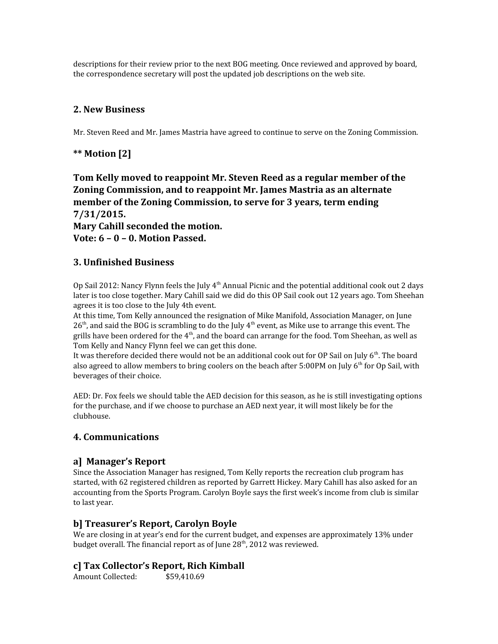descriptions for their review prior to the next BOG meeting. Once reviewed and approved by board, the correspondence secretary will post the updated job descriptions on the web site.

### **2. New Business**

Mr. Steven Reed and Mr. James Mastria have agreed to continue to serve on the Zoning Commission.

### **\*\* Motion [2]**

**Tom Kelly moved to reappoint Mr. Steven Reed as a regular member of the Zoning Commission, and to reappoint Mr. James Mastria as an alternate member of the Zoning Commission, to serve for 3 years, term ending 7/31/2015. Mary Cahill seconded the motion. Vote: 6 – 0 – 0. Motion Passed.**

### **3. Unfinished Business**

Op Sail 2012: Nancy Flynn feels the July 4<sup>th</sup> Annual Picnic and the potential additional cook out 2 days later is too close together. Mary Cahill said we did do this OP Sail cook out 12 years ago. Tom Sheehan agrees it is too close to the July 4th event.

At this time, Tom Kelly announced the resignation of Mike Manifold, Association Manager, on June  $26<sup>th</sup>$ , and said the BOG is scrambling to do the July  $4<sup>th</sup>$  event, as Mike use to arrange this event. The grills have been ordered for the  $4<sup>th</sup>$ , and the board can arrange for the food. Tom Sheehan, as well as Tom Kelly and Nancy Flynn feel we can get this done.

It was therefore decided there would not be an additional cook out for OP Sail on July  $6<sup>th</sup>$ . The board also agreed to allow members to bring coolers on the beach after  $5:00PM$  on July  $6<sup>th</sup>$  for Op Sail, with beverages of their choice.

AED: Dr. Fox feels we should table the AED decision for this season, as he is still investigating options for the purchase, and if we choose to purchase an AED next year, it will most likely be for the clubhouse.

#### **4. Communications**

#### **a] Manager's Report**

Since the Association Manager has resigned, Tom Kelly reports the recreation club program has started, with 62 registered children as reported by Garrett Hickey. Mary Cahill has also asked for an accounting from the Sports Program. Carolyn Boyle says the first week's income from club is similar to last year.

#### **b] Treasurer's Report, Carolyn Boyle**

We are closing in at year's end for the current budget, and expenses are approximately 13% under budget overall. The financial report as of June  $28<sup>th</sup>$ , 2012 was reviewed.

#### **c] Tax Collector's Report, Rich Kimball**

Amount Collected: \$59,410.69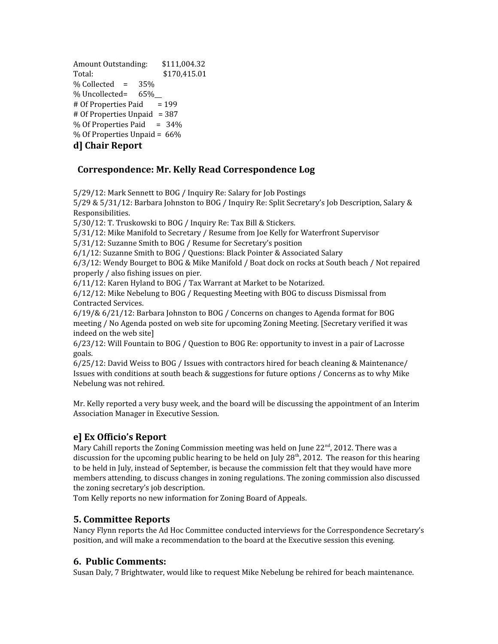Amount Outstanding: \$111,004.32 Total:  $$170,415.01$  $%$  Collected =  $35%$ % Uncollected= 65%  $#$  Of Properties Paid = 199 # Of Properties Unpaid = 387  $%$  Of Properties Paid = 34% % Of Properties Unpaid = 66% **d] Chair Report**

### **Correspondence: Mr. Kelly Read Correspondence Log**

5/29/12: Mark Sennett to BOG / Inquiry Re: Salary for Job Postings

5/29 & 5/31/12: Barbara Johnston to BOG / Inquiry Re: Split Secretary's Job Description, Salary & Responsibilities.

5/30/12: T. Truskowski to BOG / Inquiry Re: Tax Bill & Stickers.

5/31/12: Mike Manifold to Secretary / Resume from Joe Kelly for Waterfront Supervisor

5/31/12: Suzanne Smith to BOG / Resume for Secretary's position

6/1/12: Suzanne Smith to BOG / Questions: Black Pointer & Associated Salary

6/3/12: Wendy Bourget to BOG & Mike Manifold / Boat dock on rocks at South beach / Not repaired properly / also fishing issues on pier.

6/11/12: Karen Hyland to BOG / Tax Warrant at Market to be Notarized.

6/12/12: Mike Nebelung to BOG / Requesting Meeting with BOG to discuss Dismissal from Contracted Services.

6/19/& 6/21/12: Barbara Johnston to BOG / Concerns on changes to Agenda format for BOG meeting / No Agenda posted on web site for upcoming Zoning Meeting. [Secretary verified it was indeed on the web site]

6/23/12: Will Fountain to BOG / Question to BOG Re: opportunity to invest in a pair of Lacrosse goals.

6/25/12: David Weiss to BOG / Issues with contractors hired for beach cleaning & Maintenance/ Issues with conditions at south beach & suggestions for future options / Concerns as to why Mike Nebelung was not rehired.

Mr. Kelly reported a very busy week, and the board will be discussing the appointment of an Interim Association Manager in Executive Session.

### **e] Ex Officio's Report**

Mary Cahill reports the Zoning Commission meeting was held on June 22<sup>nd</sup>, 2012. There was a discussion for the upcoming public hearing to be held on July  $28<sup>th</sup>$ , 2012. The reason for this hearing to be held in July, instead of September, is because the commission felt that they would have more members attending, to discuss changes in zoning regulations. The zoning commission also discussed the zoning secretary's job description.

Tom Kelly reports no new information for Zoning Board of Appeals.

### **5. Committee Reports**

Nancy Flynn reports the Ad Hoc Committee conducted interviews for the Correspondence Secretary's position, and will make a recommendation to the board at the Executive session this evening.

#### **6. Public Comments:**

Susan Daly, 7 Brightwater, would like to request Mike Nebelung be rehired for beach maintenance.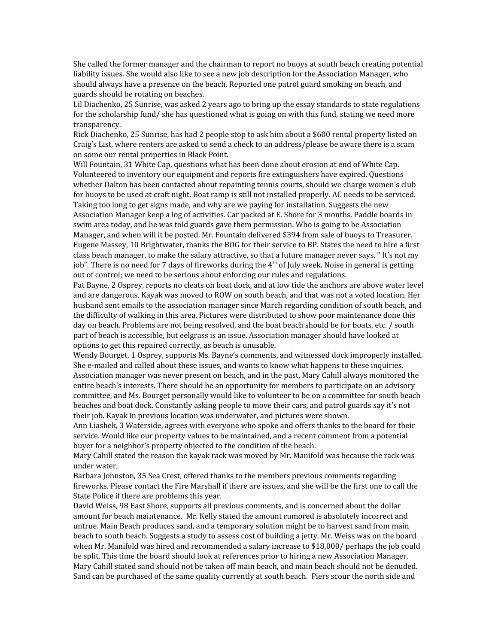She called the former manager and the chairman to report no buoys at south beach creating potential liability issues. She would also like to see a new job description for the Association Manager, who should always have a presence on the beach. Reported one patrol guard smoking on beach, and guards should be rotating on beaches.

Lil Diachenko, 25 Sunrise, was asked 2 years ago to bring up the essay standards to state regulations for the scholarship fund/ she has questioned what is going on with this fund, stating we need more transparency.

Rick Diachenko, 25 Sunrise, has had 2 people stop to ask him about a \$600 rental property listed on Craig's List, where renters are asked to send a check to an address/please be aware there is a scam on some our rental properties in Black Point.

Will Fountain, 31 White Cap, questions what has been done about erosion at end of White Cap. Volunteered to inventory our equipment and reports fire extinguishers have expired. Questions whether Dalton has been contacted about repainting tennis courts, should we charge women's club for buoys to be used at craft night. Boat ramp is still not installed properly. AC needs to be serviced. Taking too long to get signs made, and why are we paying for installation. Suggests the new Association Manager keep a log of activities. Car packed at E. Shore for 3 months. Paddle boards in swim area today, and he was told guards gave them permission. Who is going to be Association Manager, and when will it be posted. Mr. Fountain delivered \$394 from sale of buoys to Treasurer. Eugene Massey, 10 Brightwater, thanks the BOG for their service to BP. States the need to hire a first class beach manager, to make the salary attractive, so that a future manager never says, " It's not my job". There is no need for 7 days of fireworks during the  $4<sup>th</sup>$  of July week. Noise in general is getting out of control; we need to be serious about enforcing our rules and regulations.

Pat Bayne, 2 Osprey, reports no cleats on boat dock, and at low tide the anchors are above water level and are dangerous. Kayak was moved to ROW on south beach, and that was not a voted location. Her husband sent emails to the association manager since March regarding condition of south beach, and the difficulty of walking in this area. Pictures were distributed to show poor maintenance done this day on beach. Problems are not being resolved, and the boat beach should be for boats, etc. / south part of beach is accessible, but eelgrass is an issue. Association manager should have looked at options to get this repaired correctly, as beach is unusable.

Wendy Bourget, 1 Osprey, supports Ms. Bayne's comments, and witnessed dock improperly installed. She e-mailed and called about these issues, and wants to know what happens to these inquiries. Association manager was never present on beach, and in the past, Mary Cahill always monitored the entire beach's interests. There should be an opportunity for members to participate on an advisory committee, and Ms. Bourget personally would like to volunteer to be on a committee for south beach beaches and boat dock. Constantly asking people to move their cars, and patrol guards say it's not their job. Kayak in previous location was underwater, and pictures were shown.

Ann Liashek, 3 Waterside, agrees with everyone who spoke and offers thanks to the board for their service. Would like our property values to be maintained, and a recent comment from a potential buyer for a neighbor's property objected to the condition of the beach.

Mary Cahill stated the reason the kayak rack was moved by Mr. Manifold was because the rack was under water,

Barbara Johnston, 35 Sea Crest, offered thanks to the members previous comments regarding fireworks. Please contact the Fire Marshall if there are issues, and she will be the first one to call the State Police if there are problems this year.

David Weiss, 98 East Shore, supports all previous comments, and is concerned about the dollar amount for beach maintenance. Mr. Kelly stated the amount rumored is absolutely incorrect and untrue. Main Beach produces sand, and a temporary solution might be to harvest sand from main beach to south beach. Suggests a study to assess cost of building a jetty. Mr. Weiss was on the board when Mr. Manifold was hired and recommended a salary increase to \$18,000/ perhaps the job could be split. This time the board should look at references prior to hiring a new Association Manager. Mary Cahill stated sand should not be taken off main beach, and main beach should not be denuded. Sand can be purchased of the same quality currently at south beach. Piers scour the north side and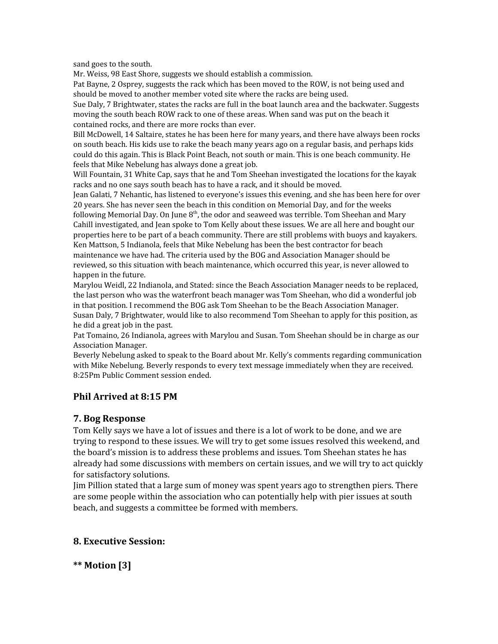sand goes to the south.

Mr. Weiss, 98 East Shore, suggests we should establish a commission.

Pat Bayne, 2 Osprey, suggests the rack which has been moved to the ROW, is not being used and should be moved to another member voted site where the racks are being used.

Sue Daly, 7 Brightwater, states the racks are full in the boat launch area and the backwater. Suggests moving the south beach ROW rack to one of these areas. When sand was put on the beach it contained rocks, and there are more rocks than ever.

Bill McDowell, 14 Saltaire, states he has been here for many years, and there have always been rocks on south beach. His kids use to rake the beach many years ago on a regular basis, and perhaps kids could do this again. This is Black Point Beach, not south or main. This is one beach community. He feels that Mike Nebelung has always done a great job.

Will Fountain, 31 White Cap, says that he and Tom Sheehan investigated the locations for the kayak racks and no one says south beach has to have a rack, and it should be moved.

Jean Galati, 7 Nehantic, has listened to everyone's issues this evening, and she has been here for over 20 years. She has never seen the beach in this condition on Memorial Day, and for the weeks following Memorial Day. On June  $8<sup>th</sup>$ , the odor and seaweed was terrible. Tom Sheehan and Mary Cahill investigated, and Jean spoke to Tom Kelly about these issues. We are all here and bought our properties here to be part of a beach community. There are still problems with buoys and kayakers. Ken Mattson, 5 Indianola, feels that Mike Nebelung has been the best contractor for beach maintenance we have had. The criteria used by the BOG and Association Manager should be reviewed, so this situation with beach maintenance, which occurred this year, is never allowed to happen in the future.

Marylou Weidl, 22 Indianola, and Stated: since the Beach Association Manager needs to be replaced, the last person who was the waterfront beach manager was Tom Sheehan, who did a wonderful job in that position. I recommend the BOG ask Tom Sheehan to be the Beach Association Manager. Susan Daly, 7 Brightwater, would like to also recommend Tom Sheehan to apply for this position, as he did a great job in the past.

Pat Tomaino, 26 Indianola, agrees with Marylou and Susan. Tom Sheehan should be in charge as our Association Manager.

Beverly Nebelung asked to speak to the Board about Mr. Kelly's comments regarding communication with Mike Nebelung. Beverly responds to every text message immediately when they are received. 8:25Pm Public Comment session ended.

#### **Phil Arrived at 8:15 PM**

#### **7. Bog Response**

Tom Kelly says we have a lot of issues and there is a lot of work to be done, and we are trying to respond to these issues. We will try to get some issues resolved this weekend, and the board's mission is to address these problems and issues. Tom Sheehan states he has already had some discussions with members on certain issues, and we will try to act quickly for satisfactory solutions.

Jim Pillion stated that a large sum of money was spent years ago to strengthen piers. There are some people within the association who can potentially help with pier issues at south beach, and suggests a committee be formed with members.

#### **8. Executive Session:**

**\*\* Motion [3]**